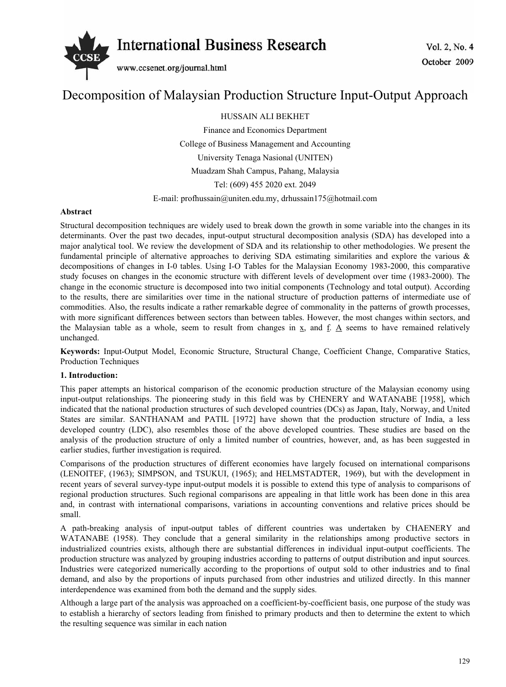

# Decomposition of Malaysian Production Structure Input-Output Approach

HUSSAIN ALI BEKHET

Finance and Economics Department College of Business Management and Accounting University Tenaga Nasional (UNITEN) Muadzam Shah Campus, Pahang, Malaysia Tel: (609) 455 2020 ext. 2049

E-mail: profhussain@uniten.edu.my, drhussain175@hotmail.com

## **Abstract**

Structural decomposition techniques are widely used to break down the growth in some variable into the changes in its determinants. Over the past two decades, input-output structural decomposition analysis (SDA) has developed into a major analytical tool. We review the development of SDA and its relationship to other methodologies. We present the fundamental principle of alternative approaches to deriving SDA estimating similarities and explore the various & decompositions of changes in I-0 tables. Using I-O Tables for the Malaysian Economy 1983-2000, this comparative study focuses on changes in the economic structure with different levels of development over time (1983-2000). The change in the economic structure is decomposed into two initial components (Technology and total output). According to the results, there are similarities over time in the national structure of production patterns of intermediate use of commodities. Also, the results indicate a rather remarkable degree of commonality in the patterns of growth processes, with more significant differences between sectors than between tables. However, the most changes within sectors, and the Malaysian table as a whole, seem to result from changes in  $x$ , and  $f$ . A seems to have remained relatively unchanged.

**Keywords:** Input-Output Model, Economic Structure, Structural Change, Coefficient Change, Comparative Statics, Production Techniques

## **1. Introduction:**

This paper attempts an historical comparison of the economic production structure of the Malaysian economy using input-output relationships. The pioneering study in this field was by CHENERY and WATANABE [1958], which indicated that the national production structures of such developed countries (DCs) as Japan, Italy, Norway, and United States are similar. SANTHANAM and PATIL [1972] have shown that the production structure of India, a less developed country (LDC), also resembles those of the above developed countries. These studies are based on the analysis of the production structure of only a limited number of countries, however, and, as has been suggested in earlier studies, further investigation is required.

Comparisons of the production structures of different economies have largely focused on international comparisons (LENOITEF, (1963); SIMPSON, and TSUKUI, (1965); and HELMSTADTER, 1969), but with the development in recent years of several survey-type input-output models it is possible to extend this type of analysis to comparisons of regional production structures. Such regional comparisons are appealing in that little work has been done in this area and, in contrast with international comparisons, variations in accounting conventions and relative prices should be small.

A path-breaking analysis of input-output tables of different countries was undertaken by CHAENERY and WATANABE (1958). They conclude that a general similarity in the relationships among productive sectors in industrialized countries exists, although there are substantial differences in individual input-output coefficients. The production structure was analyzed by grouping industries according to patterns of output distribution and input sources. Industries were categorized numerically according to the proportions of output sold to other industries and to final demand, and also by the proportions of inputs purchased from other industries and utilized directly. In this manner interdependence was examined from both the demand and the supply sides.

Although a large part of the analysis was approached on a coefficient-by-coefficient basis, one purpose of the study was to establish a hierarchy of sectors leading from finished to primary products and then to determine the extent to which the resulting sequence was similar in each nation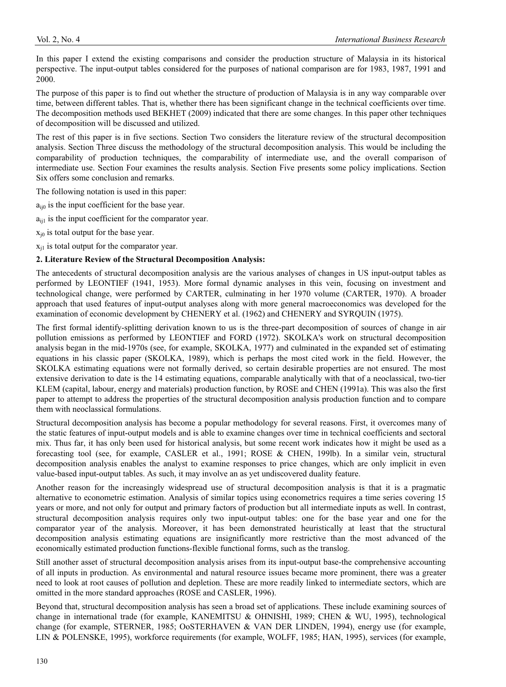In this paper I extend the existing comparisons and consider the production structure of Malaysia in its historical perspective. The input-output tables considered for the purposes of national comparison are for 1983, 1987, 1991 and 2000.

The purpose of this paper is to find out whether the structure of production of Malaysia is in any way comparable over time, between different tables. That is, whether there has been significant change in the technical coefficients over time. The decomposition methods used BEKHET (2009) indicated that there are some changes. In this paper other techniques of decomposition will be discussed and utilized.

The rest of this paper is in five sections. Section Two considers the literature review of the structural decomposition analysis. Section Three discuss the methodology of the structural decomposition analysis. This would be including the comparability of production techniques, the comparability of intermediate use, and the overall comparison of intermediate use. Section Four examines the results analysis. Section Five presents some policy implications. Section Six offers some conclusion and remarks.

The following notation is used in this paper:

 $a_{ii0}$  is the input coefficient for the base year.

 $a_{i,j}$  is the input coefficient for the comparator year.

 $x_{i0}$  is total output for the base year.

 $x_{i1}$  is total output for the comparator year.

## **2. Literature Review of the Structural Decomposition Analysis:**

The antecedents of structural decomposition analysis are the various analyses of changes in US input-output tables as performed by LEONTIEF (1941, 1953). More formal dynamic analyses in this vein, focusing on investment and technological change, were performed by CARTER, culminating in her 1970 volume (CARTER, 1970). A broader approach that used features of input-output analyses along with more general macroeconomics was developed for the examination of economic development by CHENERY et al. (1962) and CHENERY and SYRQUIN (1975).

The first formal identify-splitting derivation known to us is the three-part decomposition of sources of change in air pollution emissions as performed by LEONTIEF and FORD (1972). SKOLKA's work on structural decomposition analysis began in the mid-1970s (see, for example, SKOLKA, 1977) and culminated in the expanded set of estimating equations in his classic paper (SKOLKA, 1989), which is perhaps the most cited work in the field. However, the SKOLKA estimating equations were not formally derived, so certain desirable properties are not ensured. The most extensive derivation to date is the 14 estimating equations, comparable analytically with that of a neoclassical, two-tier KLEM (capital, labour, energy and materials) production function, by ROSE and CHEN (1991a). This was also the first paper to attempt to address the properties of the structural decomposition analysis production function and to compare them with neoclassical formulations.

Structural decomposition analysis has become a popular methodology for several reasons. First, it overcomes many of the static features of input-output models and is able to examine changes over time in technical coefficients and sectoral mix. Thus far, it has only been used for historical analysis, but some recent work indicates how it might be used as a forecasting tool (see, for example, CASLER et al., 1991; ROSE & CHEN, 199lb). In a similar vein, structural decomposition analysis enables the analyst to examine responses to price changes, which are only implicit in even value-based input-output tables. As such, it may involve an as yet undiscovered duality feature.

Another reason for the increasingly widespread use of structural decomposition analysis is that it is a pragmatic alternative to econometric estimation. Analysis of similar topics using econometrics requires a time series covering 15 years or more, and not only for output and primary factors of production but all intermediate inputs as well. In contrast, structural decomposition analysis requires only two input-output tables: one for the base year and one for the comparator year of the analysis. Moreover, it has been demonstrated heuristically at least that the structural decomposition analysis estimating equations are insignificantly more restrictive than the most advanced of the economically estimated production functions-flexible functional forms, such as the translog.

Still another asset of structural decomposition analysis arises from its input-output base-the comprehensive accounting of all inputs in production. As environmental and natural resource issues became more prominent, there was a greater need to look at root causes of pollution and depletion. These are more readily linked to intermediate sectors, which are omitted in the more standard approaches (ROSE and CASLER, 1996).

Beyond that, structural decomposition analysis has seen a broad set of applications. These include examining sources of change in international trade (for example, KANEMITSU & OHNISHI, 1989; CHEN & WU, 1995), technological change (for example, STERNER, 1985; OoSTERHAVEN & VAN DER LINDEN, 1994), energy use (for example, LIN & POLENSKE, 1995), workforce requirements (for example, WOLFF, 1985; HAN, 1995), services (for example,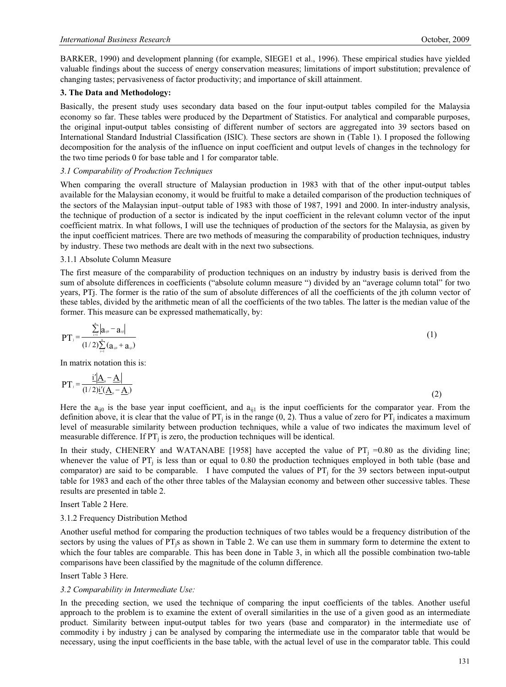BARKER, 1990) and development planning (for example, SIEGE1 et al., 1996). These empirical studies have yielded valuable findings about the success of energy conservation measures; limitations of import substitution; prevalence of changing tastes; pervasiveness of factor productivity; and importance of skill attainment.

#### **3. The Data and Methodology:**

Basically, the present study uses secondary data based on the four input-output tables compiled for the Malaysia economy so far. These tables were produced by the Department of Statistics. For analytical and comparable purposes, the original input-output tables consisting of different number of sectors are aggregated into 39 sectors based on International Standard Industrial Classification (ISIC). These sectors are shown in (Table 1). I proposed the following decomposition for the analysis of the influence on input coefficient and output levels of changes in the technology for the two time periods 0 for base table and 1 for comparator table.

#### *3.1 Comparability of Production Techniques*

When comparing the overall structure of Malaysian production in 1983 with that of the other input-output tables available for the Malaysian economy, it would be fruitful to make a detailed comparison of the production techniques of the sectors of the Malaysian input–output table of 1983 with those of 1987, 1991 and 2000. In inter-industry analysis, the technique of production of a sector is indicated by the input coefficient in the relevant column vector of the input coefficient matrix. In what follows, I will use the techniques of production of the sectors for the Malaysia, as given by the input coefficient matrices. There are two methods of measuring the comparability of production techniques, industry by industry. These two methods are dealt with in the next two subsections.

#### 3.1.1 Absolute Column Measure

The first measure of the comparability of production techniques on an industry by industry basis is derived from the sum of absolute differences in coefficients ("absolute column measure ") divided by an "average column total" for two years, PTj. The former is the ratio of the sum of absolute differences of all the coefficients of the jth column vector of these tables, divided by the arithmetic mean of all the coefficients of the two tables. The latter is the median value of the former. This measure can be expressed mathematically, by:

$$
PT_{j} = \frac{\sum_{i=1}^{n} |a_{ij0} - a_{ij}|}{(1/2)\sum_{i=1}^{n} (a_{ij0} + a_{ij0})}
$$
(1)

In matrix notation this is:

$$
PT_{i} = \frac{i'|\underline{A}_{o} - \underline{A}_{i}|}{(1/2)i'(\underline{A}_{o} - \underline{A}_{i})}
$$
(2)

Here the  $a_{ij0}$  is the base year input coefficient, and  $a_{ij1}$  is the input coefficients for the comparator year. From the definition above, it is clear that the value of  $PT_i$  is in the range (0, 2). Thus a value of zero for  $PT_i$  indicates a maximum level of measurable similarity between production techniques, while a value of two indicates the maximum level of measurable difference. If  $PT_i$  is zero, the production techniques will be identical.

In their study, CHENERY and WATANABE [1958] have accepted the value of  $PT_i = 0.80$  as the dividing line; whenever the value of  $PT_i$  is less than or equal to 0.80 the production techniques employed in both table (base and comparator) are said to be comparable. I have computed the values of  $PT_i$  for the 39 sectors between input-output table for 1983 and each of the other three tables of the Malaysian economy and between other successive tables. These results are presented in table 2.

#### Insert Table 2 Here.

#### 3.1.2 Frequency Distribution Method

Another useful method for comparing the production techniques of two tables would be a frequency distribution of the sectors by using the values of PT<sub>i</sub>s as shown in Table 2. We can use them in summary form to determine the extent to which the four tables are comparable. This has been done in Table 3, in which all the possible combination two-table comparisons have been classified by the magnitude of the column difference.

#### Insert Table 3 Here.

#### *3.2 Comparability in Intermediate Use:*

In the preceding section, we used the technique of comparing the input coefficients of the tables. Another useful approach to the problem is to examine the extent of overall similarities in the use of a given good as an intermediate product. Similarity between input-output tables for two years (base and comparator) in the intermediate use of commodity i by industry j can be analysed by comparing the intermediate use in the comparator table that would be necessary, using the input coefficients in the base table, with the actual level of use in the comparator table. This could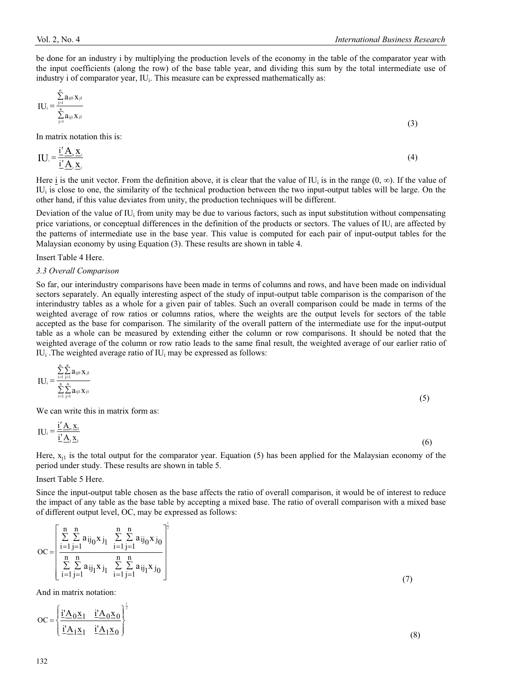be done for an industry i by multiplying the production levels of the economy in the table of the comparator year with the input coefficients (along the row) of the base table year, and dividing this sum by the total intermediate use of industry i of comparator year, IU<sub>i</sub>. This measure can be expressed mathematically as:

$$
IU_i = \frac{\sum_{j=1}^{n} a_{ij0} X_{j1}}{\sum_{j=1}^{n} a_{ij1} X_{j1}}
$$
(3)

In matrix notation this is:

$$
IU_i = \frac{\underline{i}' \underline{A}_0 \underline{x}_i}{\underline{i}' \underline{A}_i \underline{x}_i}
$$
(4)

Here i is the unit vector. From the definition above, it is clear that the value of IU<sub>i</sub> is in the range  $(0, \infty)$ . If the value of  $IU_i$  is close to one, the similarity of the technical production between the two input-output tables will be large. On the other hand, if this value deviates from unity, the production techniques will be different.

Deviation of the value of IU<sub>i</sub> from unity may be due to various factors, such as input substitution without compensating price variations, or conceptual differences in the definition of the products or sectors. The values of  $IU_i$  are affected by the patterns of intermediate use in the base year. This value is computed for each pair of input-output tables for the Malaysian economy by using Equation (3). These results are shown in table 4.

Insert Table 4 Here.

#### *3.3 Overall Comparison*

So far, our interindustry comparisons have been made in terms of columns and rows, and have been made on individual sectors separately. An equally interesting aspect of the study of input-output table comparison is the comparison of the interindustry tables as a whole for a given pair of tables. Such an overall comparison could be made in terms of the weighted average of row ratios or columns ratios, where the weights are the output levels for sectors of the table accepted as the base for comparison. The similarity of the overall pattern of the intermediate use for the input-output table as a whole can be measured by extending either the column or row comparisons. It should be noted that the weighted average of the column or row ratio leads to the same final result, the weighted average of our earlier ratio of  $IU_i$ . The weighted average ratio of  $IU_i$  may be expressed as follows:

$$
IU_i = \frac{\sum_{i=1}^{n} \sum_{j=1}^{n} a_{ij0} x_{j1}}{\sum_{i=1}^{n} \sum_{j=1}^{n} a_{ij1} x_{j1}}
$$
(5)

We can write this in matrix form as:

$$
IU_i = \frac{\underline{i}' \underline{A}_0 \underline{x}_1}{\underline{i}' \underline{A}_1 \underline{x}_1} \tag{6}
$$

Here,  $x_{j1}$  is the total output for the comparator year. Equation (5) has been applied for the Malaysian economy of the period under study. These results are shown in table 5.

#### Insert Table 5 Here.

ª

Since the input-output table chosen as the base affects the ratio of overall comparison, it would be of interest to reduce the impact of any table as the base table by accepting a mixed base. The ratio of overall comparison with a mixed base of different output level, OC, may be expressed as follows:

$$
OC = \left[ \frac{\sum_{i=1}^{n} \sum_{j=1}^{n} a_{ij_0} x_{j_1} \sum_{i=1}^{n} \sum_{j=1}^{n} a_{ij_0} x_{j_0}}{\sum_{i=1}^{n} \sum_{j=1}^{n} a_{ij_1} x_{j_1} \sum_{i=1}^{n} \sum_{j=1}^{n} a_{ij_1} x_{j_0}} \right]^{\frac{1}{2}}
$$
(7)

And in matrix notation:

$$
OC = \left\{ \frac{\underline{i}^{\prime} \underline{A}_0 \underline{x}_1}{\underline{i}^{\prime} \underline{A}_1 \underline{x}_1} \cdot \underline{i}^{\prime} \underline{A}_1 \underline{x}_0 \right\}^{\frac{1}{2}}
$$
(8)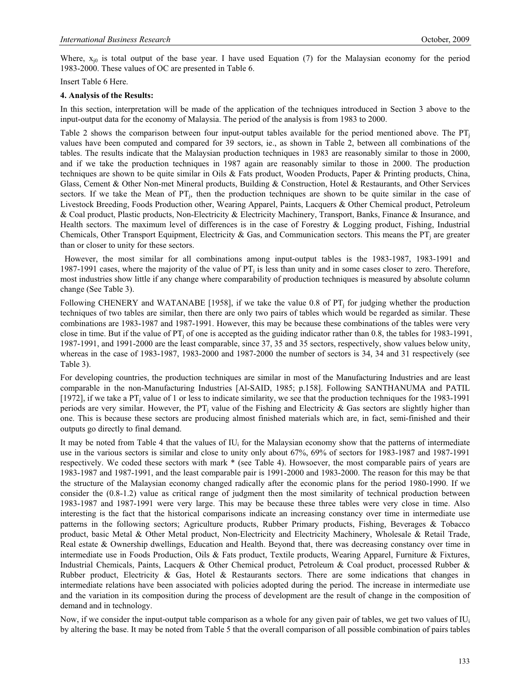Where,  $x_{i0}$  is total output of the base year. I have used Equation (7) for the Malaysian economy for the period 1983-2000. These values of OC are presented in Table 6.

Insert Table 6 Here.

#### **4. Analysis of the Results:**

In this section, interpretation will be made of the application of the techniques introduced in Section 3 above to the input-output data for the economy of Malaysia. The period of the analysis is from 1983 to 2000.

Table 2 shows the comparison between four input-output tables available for the period mentioned above. The  $PT_i$ values have been computed and compared for 39 sectors, ie., as shown in Table 2, between all combinations of the tables. The results indicate that the Malaysian production techniques in 1983 are reasonably similar to those in 2000, and if we take the production techniques in 1987 again are reasonably similar to those in 2000. The production techniques are shown to be quite similar in Oils & Fats product, Wooden Products, Paper & Printing products, China, Glass, Cement & Other Non-met Mineral products, Building & Construction, Hotel & Restaurants, and Other Services sectors. If we take the Mean of  $PT_i$ , then the production techniques are shown to be quite similar in the case of Livestock Breeding, Foods Production other, Wearing Apparel, Paints, Lacquers & Other Chemical product, Petroleum & Coal product, Plastic products, Non-Electricity & Electricity Machinery, Transport, Banks, Finance & Insurance, and Health sectors. The maximum level of differences is in the case of Forestry & Logging product, Fishing, Industrial Chemicals, Other Transport Equipment, Electricity & Gas, and Communication sectors. This means the  $PT_i$  are greater than or closer to unity for these sectors.

 However, the most similar for all combinations among input-output tables is the 1983-1987, 1983-1991 and 1987-1991 cases, where the majority of the value of  $PT<sub>i</sub>$  is less than unity and in some cases closer to zero. Therefore, most industries show little if any change where comparability of production techniques is measured by absolute column change (See Table 3).

Following CHENERY and WATANABE [1958], if we take the value 0.8 of  $PT_i$  for judging whether the production techniques of two tables are similar, then there are only two pairs of tables which would be regarded as similar. These combinations are 1983-1987 and 1987-1991. However, this may be because these combinations of the tables were very close in time. But if the value of  $PT_i$  of one is accepted as the guiding indicator rather than 0.8, the tables for 1983-1991, 1987-1991, and 1991-2000 are the least comparable, since 37, 35 and 35 sectors, respectively, show values below unity, whereas in the case of 1983-1987, 1983-2000 and 1987-2000 the number of sectors is 34, 34 and 31 respectively (see Table 3).

For developing countries, the production techniques are similar in most of the Manufacturing Industries and are least comparable in the non-Manufacturing Industries [Al-SAID, 1985; p.158]. Following SANTHANUMA and PATIL [1972], if we take a PT<sub>i</sub> value of 1 or less to indicate similarity, we see that the production techniques for the 1983-1991 periods are very similar. However, the PT<sub>i</sub> value of the Fishing and Electricity & Gas sectors are slightly higher than one. This is because these sectors are producing almost finished materials which are, in fact, semi-finished and their outputs go directly to final demand.

It may be noted from Table 4 that the values of  $IU_i$  for the Malaysian economy show that the patterns of intermediate use in the various sectors is similar and close to unity only about 67%, 69% of sectors for 1983-1987 and 1987-1991 respectively. We coded these sectors with mark \* (see Table 4). Howsoever, the most comparable pairs of years are 1983-1987 and 1987-1991, and the least comparable pair is 1991-2000 and 1983-2000. The reason for this may be that the structure of the Malaysian economy changed radically after the economic plans for the period 1980-1990. If we consider the (0.8-1.2) value as critical range of judgment then the most similarity of technical production between 1983-1987 and 1987-1991 were very large. This may be because these three tables were very close in time. Also interesting is the fact that the historical comparisons indicate an increasing constancy over time in intermediate use patterns in the following sectors; Agriculture products, Rubber Primary products, Fishing, Beverages & Tobacco product, basic Metal & Other Metal product, Non-Electricity and Electricity Machinery, Wholesale & Retail Trade, Real estate & Ownership dwellings, Education and Health. Beyond that, there was decreasing constancy over time in intermediate use in Foods Production, Oils & Fats product, Textile products, Wearing Apparel, Furniture & Fixtures, Industrial Chemicals, Paints, Lacquers & Other Chemical product, Petroleum & Coal product, processed Rubber & Rubber product, Electricity & Gas, Hotel & Restaurants sectors. There are some indications that changes in intermediate relations have been associated with policies adopted during the period. The increase in intermediate use and the variation in its composition during the process of development are the result of change in the composition of demand and in technology.

Now, if we consider the input-output table comparison as a whole for any given pair of tables, we get two values of  $IU_i$ by altering the base. It may be noted from Table 5 that the overall comparison of all possible combination of pairs tables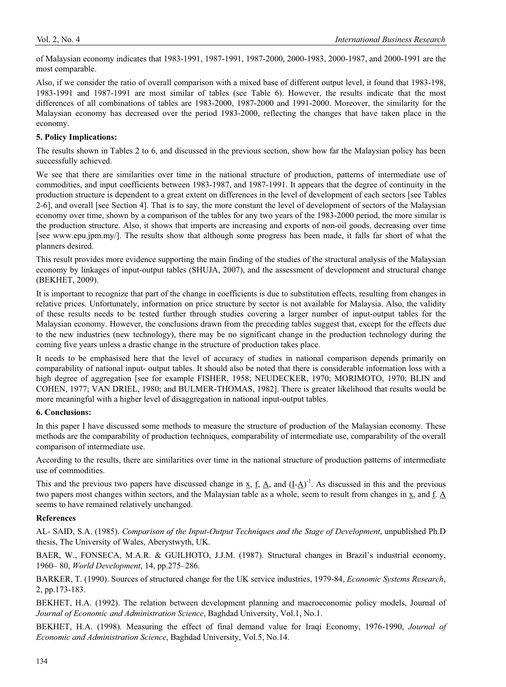of Malaysian economy indicates that 1983-1991, 1987-1991, 1987-2000, 2000-1983, 2000-1987, and 2000-1991 are the most comparable.

Also, if we consider the ratio of overall comparison with a mixed base of different output level, it found that 1983-198, 1983-1991 and 1987-1991 are most similar of tables (see Table 6). However, the results indicate that the most differences of all combinations of tables are 1983-2000, 1987-2000 and 1991-2000. Moreover, the similarity for the Malaysian economy has decreased over the period 1983-2000, reflecting the changes that have taken place in the economy.

## **5. Policy Implications:**

The results shown in Tables 2 to 6, and discussed in the previous section, show how far the Malaysian policy has been successfully achieved.

We see that there are similarities over time in the national structure of production, patterns of intermediate use of commodities, and input coefficients between 1983-1987, and 1987-1991. It appears that the degree of continuity in the production structure is dependent to a great extent on differences in the level of development of each sectors [see Tables 2-6], and overall [see Section 4]. That is to say, the more constant the level of development of sectors of the Malaysian economy over time, shown by a comparison of the tables for any two years of the 1983-2000 period, the more similar is the production structure. Also, it shows that imports are increasing and exports of non-oil goods, decreasing over time [see www.epu.jpm.my/]. The results show that although some progress has been made, it falls far short of what the planners desired.

This result provides more evidence supporting the main finding of the studies of the structural analysis of the Malaysian economy by linkages of input-output tables (SHUJA, 2007), and the assessment of development and structural change (BEKHET, 2009).

It is important to recognize that part of the change in coefficients is due to substitution effects, resulting from changes in relative prices. Unfortunately, information on price structure by sector is not available for Malaysia. Also, the validity of these results needs to be tested further through studies covering a larger number of input-output tables for the Malaysian economy. However, the conclusions drawn from the preceding tables suggest that, except for the effects due to the new industries (new technology), there may be no significant change in the production technology during the coming five years unless a drastic change in the structure of production takes place.

It needs to be emphasised here that the level of accuracy of studies in national comparison depends primarily on comparability of national input- output tables. It should also be noted that there is considerable information loss with a high degree of aggregation [see for example FISHER, 1958; NEUDECKER, 1970; MORIMOTO, 1970; BLIN and COHEN, 1977; VAN DRIEL, 1980; and BULMER-THOMAS, 1982]. There is greater likelihood that results would be more meaningful with a higher level of disaggregation in national input-output tables.

## **6. Conclusions:**

In this paper I have discussed some methods to measure the structure of production of the Malaysian economy. These methods are the comparability of production techniques, comparability of intermediate use, comparability of the overall comparison of intermediate use.

According to the results, there are similarities over time in the national structure of production patterns of intermediate use of commodities.

This and the previous two papers have discussed change in  $\underline{x}$ ,  $\underline{f}$ ,  $\underline{A}$ , and  $(\underline{I} - \underline{A})^{-1}$ . As discussed in this and the previous two papers most changes within sectors, and the Malaysian table as a whole, seem to result from changes in x, and f. A seems to have remained relatively unchanged.

## **References**

AL- SAID, S.A. (1985). *Comparison of the Input-Output Techniques and the Stage of Development*, unpublished Ph.D thesis, The University of Wales, Aberystwyth, UK.

BAER, W., FONSECA, M.A.R. & GUILHOTO, J.J.M. (1987). Structural changes in Brazil's industrial economy, 1960– 80, *World Development*, 14, pp.275–286.

BARKER, T. (1990). Sources of structured change for the UK service industries, 1979-84, *Economic Systems Research*, 2, pp.173-183.

BEKHET, H.A. (1992). The relation between development planning and macroeconomic policy models, Journal of *Journal of Economic and Administration Science*, Baghdad University, Vol.1, No.1.

BEKHET, H.A. (1998). Measuring the effect of final demand value for Iraqi Economy, 1976-1990, *Journal of Economic and Administration Science*, Baghdad University, Vol.5, No.14.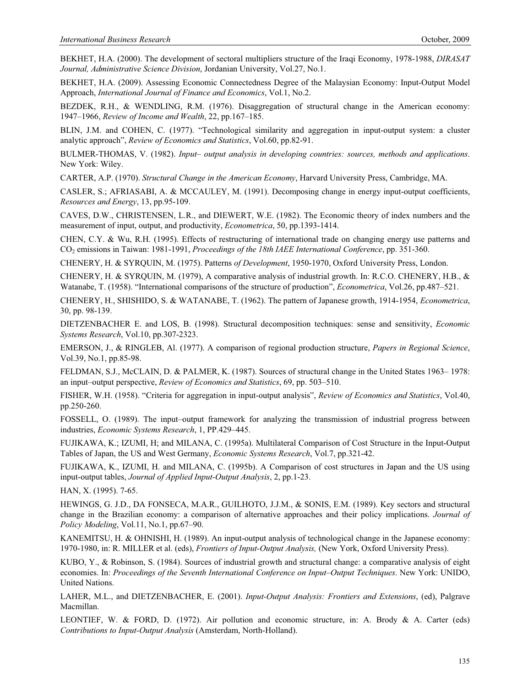BEKHET, H.A. (2000). The development of sectoral multipliers structure of the Iraqi Economy, 1978-1988, *DIRASAT Journal, Administrative Science Division*, Jordanian University, Vol.27, No.1.

BEKHET, H.A. (2009). Assessing Economic Connectedness Degree of the Malaysian Economy: Input-Output Model Approach, *International Journal of Finance and Economics*, Vol.1, No.2.

BEZDEK, R.H., & WENDLING, R.M. (1976). Disaggregation of structural change in the American economy: 1947–1966, *Review of Income and Wealth*, 22, pp.167–185.

BLIN, J.M. and COHEN, C. (1977). "Technological similarity and aggregation in input-output system: a cluster analytic approach", *Review of Economics and Statistics*, Vol.60, pp.82-91.

BULMER-THOMAS, V. (1982). *Input– output analysis in developing countries: sources, methods and applications*. New York: Wiley.

CARTER, A.P. (1970). *Structural Change in the American Economy*, Harvard University Press, Cambridge, MA.

CASLER, S.; AFRIASABI, A. & MCCAULEY, M. (1991). Decomposing change in energy input-output coefficients, *Resources and Energy*, 13, pp.95-109.

CAVES, D.W., CHRISTENSEN, L.R., and DIEWERT, W.E. (1982). The Economic theory of index numbers and the measurement of input, output, and productivity, *Econometrica*, 50, pp.1393-1414.

CHEN, C.Y. & Wu, R.H. (1995). Effects of restructuring of international trade on changing energy use patterns and CO2 emissions in Taiwan: 1981-1991, *Proceedings of the 18th IAEE International Conference*, pp. 351-360.

CHENERY, H. & SYRQUIN, M. (1975). Patterns *of Development*, 1950-1970, Oxford University Press, London.

CHENERY, H. & SYRQUIN, M. (1979), A comparative analysis of industrial growth. In: R.C.O. CHENERY, H.B., & Watanabe, T. (1958). "International comparisons of the structure of production", *Econometrica*, Vol.26, pp.487–521.

CHENERY, H., SHISHIDO, S. & WATANABE, T. (1962). The pattern of Japanese growth, 1914-1954, *Econometrica*, 30, pp. 98-139.

DIETZENBACHER E. and LOS, B. (1998). Structural decomposition techniques: sense and sensitivity, *Economic Systems Research*, Vol.10, pp.307-2323.

EMERSON, J., & RINGLEB, Al. (1977). A comparison of regional production structure, *Papers in Regional Science*, Vol.39, No.1, pp.85-98.

FELDMAN, S.J., McCLAIN, D. & PALMER, K. (1987). Sources of structural change in the United States 1963– 1978: an input–output perspective, *Review of Economics and Statistics*, 69, pp. 503–510.

FISHER, W.H. (1958). "Criteria for aggregation in input-output analysis", *Review of Economics and Statistics*, Vol.40, pp.250-260.

FOSSELL, O. (1989). The input–output framework for analyzing the transmission of industrial progress between industries, *Economic Systems Research*, 1, PP.429–445.

FUJIKAWA, K.; IZUMI, H; and MILANA, C. (1995a). Multilateral Comparison of Cost Structure in the Input-Output Tables of Japan, the US and West Germany, *Economic Systems Research*, Vol.7, pp.321-42.

FUJIKAWA, K., IZUMI, H. and MILANA, C. (1995b). A Comparison of cost structures in Japan and the US using input-output tables, *Journal of Applied Input-Output Analysis*, 2, pp.1-23.

HAN, X. (1995). 7-65.

HEWINGS, G. J.D., DA FONSECA, M.A.R., GUILHOTO, J.J.M., & SONIS, E.M. (1989). Key sectors and structural change in the Brazilian economy: a comparison of alternative approaches and their policy implications. *Journal of Policy Modeling*, Vol.11, No.1, pp.67–90.

KANEMITSU, H. & OHNISHI, H. (1989). An input-output analysis of technological change in the Japanese economy: 1970-1980, in: R. MILLER et al. (eds), *Frontiers of Input-Output Analysis,* (New York, Oxford University Press).

KUBO, Y., & Robinson, S. (1984). Sources of industrial growth and structural change: a comparative analysis of eight economies. In: *Proceedings of the Seventh International Conference on Input–Output Techniques*. New York: UNIDO, United Nations.

LAHER, M.L., and DIETZENBACHER, E. (2001). *Input-Output Analysis: Frontiers and Extensions*, (ed), Palgrave Macmillan.

LEONTIEF, W. & FORD, D. (1972). Air pollution and economic structure, in: A. Brody & A. Carter (eds) *Contributions to Input-Output Analysis* (Amsterdam, North-Holland).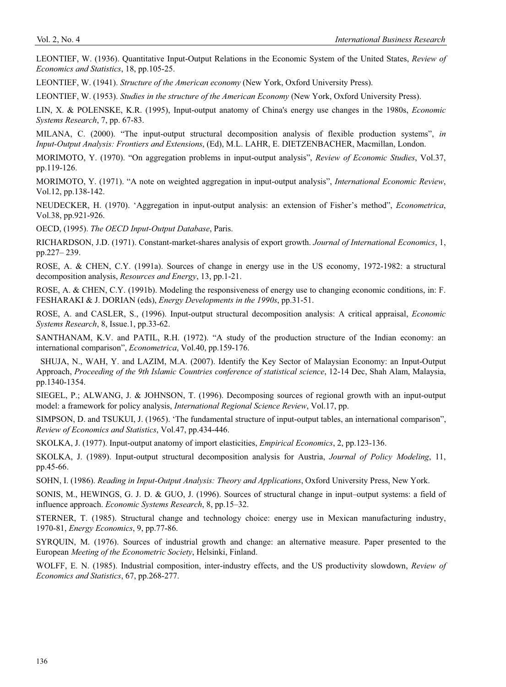LEONTIEF, W. (1936). Quantitative Input-Output Relations in the Economic System of the United States, *Review of Economics and Statistics*, 18, pp.105-25.

LEONTIEF, W. (1941). *Structure of the American economy* (New York, Oxford University Press).

LEONTIEF, W. (1953). *Studies in the structure of the American Economy* (New York, Oxford University Press).

LIN, X. & POLENSKE, K.R. (1995), Input-output anatomy of China's energy use changes in the 1980s, *Economic Systems Research*, 7, pp. 67-83.

MILANA, C. (2000). "The input-output structural decomposition analysis of flexible production systems", *in Input-Output Analysis: Frontiers and Extensions*, (Ed), M.L. LAHR, E. DIETZENBACHER, Macmillan, London.

MORIMOTO, Y. (1970). "On aggregation problems in input-output analysis", *Review of Economic Studies*, Vol.37, pp.119-126.

MORIMOTO, Y. (1971). "A note on weighted aggregation in input-output analysis", *International Economic Review*, Vol.12, pp.138-142.

NEUDECKER, H. (1970). 'Aggregation in input-output analysis: an extension of Fisher's method", *Econometrica*, Vol.38, pp.921-926.

OECD, (1995). *The OECD Input-Output Database*, Paris.

RICHARDSON, J.D. (1971). Constant-market-shares analysis of export growth. *Journal of International Economics*, 1, pp.227– 239.

ROSE, A. & CHEN, C.Y. (1991a). Sources of change in energy use in the US economy, 1972-1982: a structural decomposition analysis, *Resources and Energy*, 13, pp.1-21.

ROSE, A. & CHEN, C.Y. (1991b). Modeling the responsiveness of energy use to changing economic conditions, in: F. FESHARAKI & J. DORIAN (eds), *Energy Developments in the 1990s*, pp.31-51.

ROSE, A. and CASLER, S., (1996). Input-output structural decomposition analysis: A critical appraisal, *Economic Systems Research*, 8, Issue.1, pp.33-62.

SANTHANAM, K.V. and PATIL, R.H. (1972). "A study of the production structure of the Indian economy: an international comparison", *Econometrica*, Vol.40, pp.159-176.

 SHUJA, N., WAH, Y. and LAZIM, M.A. (2007). Identify the Key Sector of Malaysian Economy: an Input-Output Approach, *Proceeding of the 9th Islamic Countries conference of statistical science*, 12-14 Dec, Shah Alam, Malaysia, pp.1340-1354.

SIEGEL, P.; ALWANG, J. & JOHNSON, T. (1996). Decomposing sources of regional growth with an input-output model: a framework for policy analysis, *International Regional Science Review*, Vol.17, pp.

SIMPSON, D. and TSUKUI, J. (1965). 'The fundamental structure of input-output tables, an international comparison", *Review of Economics and Statistics*, Vol.47, pp.434-446.

SKOLKA, J. (1977). Input-output anatomy of import elasticities, *Empirical Economics*, 2, pp.123-136.

SKOLKA, J. (1989). Input-output structural decomposition analysis for Austria, *Journal of Policy Modeling*, 11, pp.45-66.

SOHN, I. (1986). *Reading in Input-Output Analysis: Theory and Applications*, Oxford University Press, New York.

SONIS, M., HEWINGS, G. J. D. & GUO, J. (1996). Sources of structural change in input–output systems: a field of influence approach. *Economic Systems Research*, 8, pp.15–32.

STERNER, T. (1985). Structural change and technology choice: energy use in Mexican manufacturing industry, 1970-81, *Energy Economics*, 9, pp.77-86.

SYRQUIN, M. (1976). Sources of industrial growth and change: an alternative measure. Paper presented to the European *Meeting of the Econometric Society*, Helsinki, Finland.

WOLFF, E. N. (1985). Industrial composition, inter-industry effects, and the US productivity slowdown, *Review of Economics and Statistics*, 67, pp.268-277.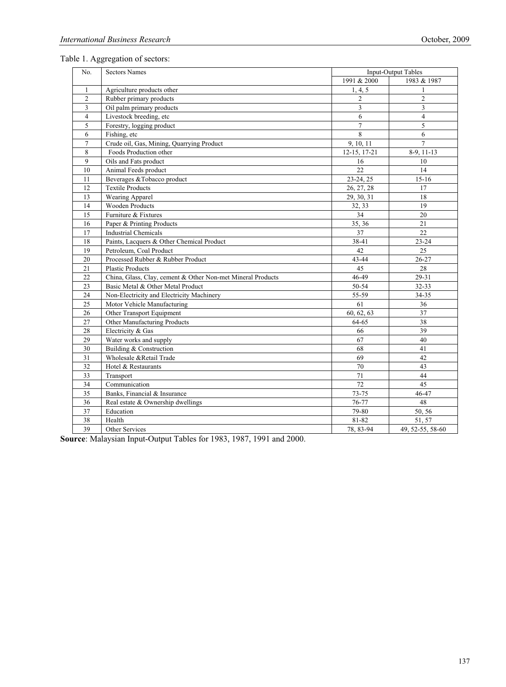## Table 1. Aggregation of sectors:

| No.            | <b>Sectors Names</b>                                        |                | <b>Input-Output Tables</b> |  |  |
|----------------|-------------------------------------------------------------|----------------|----------------------------|--|--|
|                |                                                             | 1991 & 2000    | 1983 & 1987                |  |  |
| 1              | Agriculture products other                                  | 1, 4, 5        | 1                          |  |  |
| $\overline{c}$ | Rubber primary products                                     | $\overline{c}$ | $\overline{c}$             |  |  |
| 3              | Oil palm primary products                                   | 3              | 3                          |  |  |
| $\overline{4}$ | Livestock breeding, etc                                     | 6              | $\overline{4}$             |  |  |
| 5              | Forestry, logging product                                   | $\overline{7}$ | 5                          |  |  |
| 6              | Fishing, etc                                                | 8              | 6                          |  |  |
| $\overline{7}$ | Crude oil, Gas, Mining, Quarrying Product                   | 9, 10, 11      | $\overline{7}$             |  |  |
| 8              | Foods Production other                                      | 12-15, 17-21   | 8-9, 11-13                 |  |  |
| 9              | Oils and Fats product                                       | 16             | 10                         |  |  |
| 10             | Animal Feeds product                                        | 22             | 14                         |  |  |
| 11             | Beverages & Tobacco product                                 | 23-24, 25      | $15 - 16$                  |  |  |
| 12             | <b>Textile Products</b>                                     | 26, 27, 28     | 17                         |  |  |
| 13             | Wearing Apparel                                             | 29, 30, 31     | 18                         |  |  |
| 14             | <b>Wooden Products</b>                                      | 32, 33         | 19                         |  |  |
| 15             | Furniture & Fixtures                                        | 34             | 20                         |  |  |
| 16             | Paper & Printing Products                                   | 35, 36         | 21                         |  |  |
| 17             | <b>Industrial Chemicals</b>                                 | 37             | 22                         |  |  |
| 18             | Paints, Lacquers & Other Chemical Product                   | 38-41          | $23 - 24$                  |  |  |
| 19             | Petroleum, Coal Product                                     | 42             | 25                         |  |  |
| 20             | Processed Rubber & Rubber Product                           | 43-44          | $26 - 27$                  |  |  |
| 21             | <b>Plastic Products</b>                                     | 45             | 28                         |  |  |
| 22             | China, Glass, Clay, cement & Other Non-met Mineral Products | 46-49          | 29-31                      |  |  |
| 23             | Basic Metal & Other Metal Product                           | 50-54          | $32 - 33$                  |  |  |
| 24             | Non-Electricity and Electricity Machinery                   | 55-59          | 34-35                      |  |  |
| 25             | Motor Vehicle Manufacturing                                 | 61             | 36                         |  |  |
| 26             | Other Transport Equipment                                   | 60, 62, 63     | 37                         |  |  |
| 27             | Other Manufacturing Products                                | 64-65          | 38                         |  |  |
| 28             | Electricity & Gas                                           | 66             | 39                         |  |  |
| 29             | Water works and supply                                      | 67             | 40                         |  |  |
| 30             | Building & Construction                                     | 68             | 41                         |  |  |
| 31             | Wholesale & Retail Trade                                    | 69             | 42                         |  |  |
| 32             | Hotel & Restaurants                                         | 70             | 43                         |  |  |
| 33             | Transport                                                   | 71             | 44                         |  |  |
| 34             | Communication                                               | 72             | 45                         |  |  |
| 35             | Banks, Financial & Insurance                                | $73 - 75$      | 46-47                      |  |  |
| 36             | Real estate & Ownership dwellings                           | 76-77          | 48                         |  |  |
| 37             | Education                                                   | 79-80          | 50, 56                     |  |  |
| 38             | Health                                                      | 81-82          | 51, 57                     |  |  |
| 39             | Other Services                                              | 78, 83-94      | 49, 52-55, 58-60           |  |  |

**Source**: Malaysian Input-Output Tables for 1983, 1987, 1991 and 2000.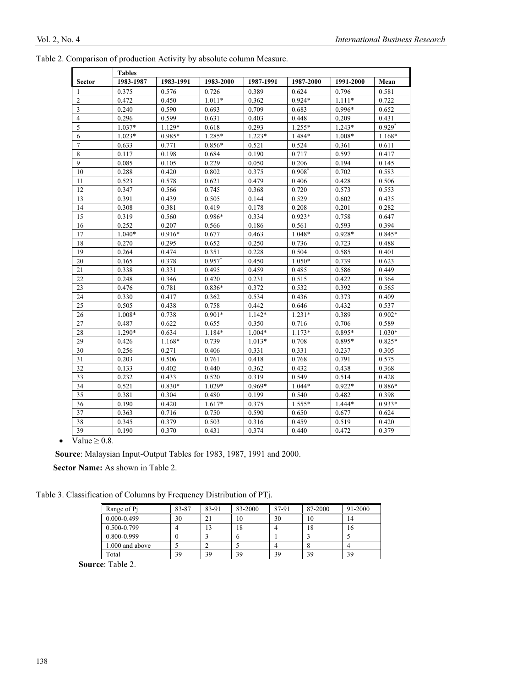| <b>Tables</b>  |           |           |           |           |                      |           |                      |
|----------------|-----------|-----------|-----------|-----------|----------------------|-----------|----------------------|
| <b>Sector</b>  | 1983-1987 | 1983-1991 | 1983-2000 | 1987-1991 | 1987-2000            | 1991-2000 | Mean                 |
| 1              | 0.375     | 0.576     | 0.726     | 0.389     | 0.624                | 0.796     | 0.581                |
| $\overline{c}$ | 0.472     | 0.450     | $1.011*$  | 0.362     | $0.924*$             | $1.111*$  | 0.722                |
| 3              | 0.240     | 0.590     | 0.693     | 0.709     | 0.683                | $0.996*$  | 0.652                |
| $\overline{4}$ | 0.296     | 0.599     | 0.631     | 0.403     | 0.448                | 0.209     | 0.431                |
| 5              | 1.037*    | 1.129*    | 0.618     | 0.293     | 1.255*               | $1.243*$  | $0.929$ <sup>*</sup> |
| 6              | $1.023*$  | 0.985*    | 1.285*    | 1.223*    | 1.484*               | 1.008*    | 1.168*               |
| 7              | 0.633     | 0.771     | 0.856*    | 0.521     | 0.524                | 0.361     | 0.611                |
| 8              | 0.117     | 0.198     | 0.684     | 0.190     | 0.717                | 0.597     | 0.417                |
| 9              | 0.085     | 0.105     | 0.229     | 0.050     | 0.206                | 0.194     | 0.145                |
| 10             | 0.288     | 0.420     | 0.802     | 0.375     | $0.908$ <sup>*</sup> | 0.702     | 0.583                |
| 11             | 0.523     | 0.578     | 0.621     | 0.479     | 0.406                | 0.428     | 0.506                |
| 12             | 0.347     | 0.566     | 0.745     | 0.368     | 0.720                | 0.573     | 0.553                |
| 13             | 0.391     | 0.439     | 0.505     | 0.144     | 0.529                | 0.602     | 0.435                |
| 14             | 0.308     | 0.381     | 0.419     | 0.178     | 0.208                | 0.201     | 0.282                |
| 15             | 0.319     | 0.560     | 0.986*    | 0.334     | $0.923*$             | 0.758     | 0.647                |
| 16             | 0.252     | 0.207     | 0.566     | 0.186     | 0.561                | 0.593     | 0.394                |
| 17             | $1.040*$  | $0.916*$  | 0.677     | 0.463     | 1.048*               | 0.928*    | 0.845*               |
| 18             | 0.270     | 0.295     | 0.652     | 0.250     | 0.736                | 0.723     | 0.488                |
| 19             | 0.264     | 0.474     | 0.351     | 0.228     | 0.504                | 0.585     | 0.401                |
| 20             | 0.165     | 0.378     | 0.957     | 0.450     | 1.050*               | 0.739     | 0.623                |
| 21             | 0.338     | 0.331     | 0.495     | 0.459     | 0.485                | 0.586     | 0.449                |
| 22             | 0.248     | 0.346     | 0.420     | 0.231     | 0.515                | 0.422     | 0.364                |
| 23             | 0.476     | 0.781     | $0.836*$  | 0.372     | 0.532                | 0.392     | 0.565                |
| 24             | 0.330     | 0.417     | 0.362     | 0.534     | 0.436                | 0.373     | 0.409                |
| 25             | 0.505     | 0.438     | 0.758     | 0.442     | 0.646                | 0.432     | 0.537                |
| 26             | 1.008*    | 0.738     | $0.901*$  | 1.142*    | $1.231*$             | 0.389     | $0.902*$             |
| 27             | 0.487     | 0.622     | 0.655     | 0.350     | 0.716                | 0.706     | 0.589                |
| 28             | 1.290*    | 0.634     | 1.184*    | 1.004*    | $1.173*$             | 0.895*    | 1.030*               |
| 29             | 0.426     | 1.168*    | 0.739     | $1.013*$  | 0.708                | 0.895*    | $0.825*$             |
| 30             | 0.256     | 0.271     | 0.406     | 0.331     | 0.331                | 0.237     | 0.305                |
| 31             | 0.203     | 0.506     | 0.761     | 0.418     | 0.768                | 0.791     | 0.575                |
| 32             | 0.133     | 0.402     | 0.440     | 0.362     | 0.432                | 0.438     | 0.368                |
| 33             | 0.232     | 0.433     | 0.520     | 0.319     | 0.549                | 0.514     | 0.428                |
| 34             | 0.521     | $0.830*$  | 1.029*    | $0.969*$  | 1.044*               | $0.922*$  | 0.886*               |
| 35             | 0.381     | 0.304     | 0.480     | 0.199     | 0.540                | 0.482     | 0.398                |
| 36             | 0.190     | 0.420     | 1.617*    | 0.375     | 1.555*               | 1.444*    | $0.933*$             |
| 37             | 0.363     | 0.716     | 0.750     | 0.590     | 0.650                | 0.677     | 0.624                |
| 38             | 0.345     | 0.379     | 0.503     | 0.316     | 0.459                | 0.519     | 0.420                |
| 39             | 0.190     | 0.370     | 0.431     | 0.374     | 0.440                | 0.472     | 0.379                |

Table 2. Comparison of production Activity by absolute column Measure.

 $\bullet$  Value  $\geq 0.8$ .

Source: Malaysian Input-Output Tables for 1983, 1987, 1991 and 2000.

 **Sector Name:** As shown in Table 2.

Table 3. Classification of Columns by Frequency Distribution of PTj.

| Range of Pi     | 83-87 | 83-91 | 83-2000 | 87-91 | 87-2000 | 91-2000 |
|-----------------|-------|-------|---------|-------|---------|---------|
| $0.000 - 0.499$ | 30    |       | 10      | 30    | 10      |         |
| 0.500-0.799     |       |       | 18      |       | 18      | 10      |
| 0.800-0.999     |       |       |         |       |         |         |
| 1.000 and above |       |       |         |       |         |         |
| Total           | 39    | 39    | 39      | 39    | 39      | 39      |

 **Source**: Table 2.